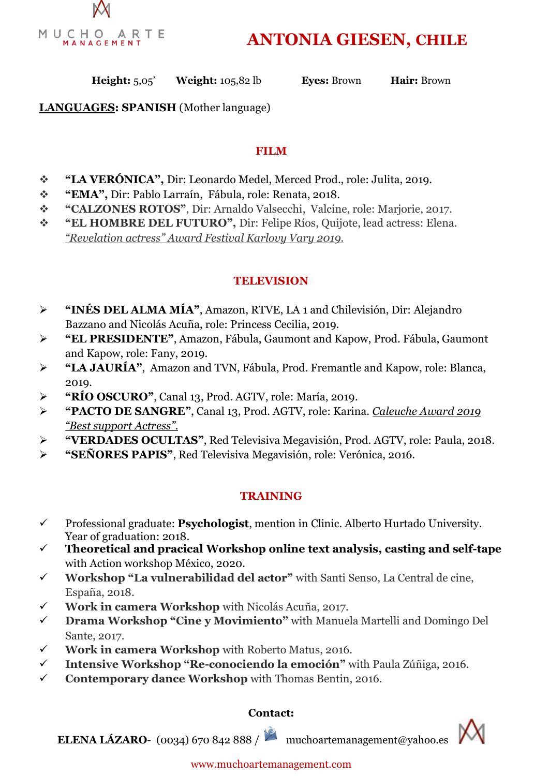

**ANTONIA GIESEN, CHILE** 

**Height:** 5,05' **Weight:** 105,82 lb **Eyes:** Brown **Hair:** Brown

**LANGUAGES: SPANISH** (Mother language)

### **FILM**

- **"LA VERÓNICA",** Dir: Leonardo Medel, Merced Prod., role: Julita, 2019.
- **"EMA",** Dir: Pablo Larraín, Fábula, role: Renata, 2018.
- **"CALZONES ROTOS"**, Dir: Arnaldo Valsecchi, Valcine, role: Marjorie, 2017.
- **"EL HOMBRE DEL FUTURO",** Dir: Felipe Ríos, Quijote, lead actress: Elena. *"Revelation actress" Award Festival Karlovy Vary 2019.*

## **TELEVISION**

- **"INÉS DEL ALMA MÍA"**, Amazon, RTVE, LA 1 and Chilevisión, Dir: Alejandro Bazzano and Nicolás Acuña, role: Princess Cecilia, 2019.
- **"EL PRESIDENTE"**, Amazon, Fábula, Gaumont and Kapow, Prod. Fábula, Gaumont and Kapow, role: Fany, 2019.
- **"LA JAURÍA"**, Amazon and TVN, Fábula, Prod. Fremantle and Kapow, role: Blanca, 2019.
- **"RÍO OSCURO"**, Canal 13, Prod. AGTV, role: María, 2019.
- **"PACTO DE SANGRE"**, Canal 13, Prod. AGTV, role: Karina. *Caleuche Award 2019 "Best support Actress".*
- **"VERDADES OCULTAS"**, Red Televisiva Megavisión, Prod. AGTV, role: Paula, 2018.
- **"SEÑORES PAPIS"**, Red Televisiva Megavisión, role: Verónica, 2016.

### **TRAINING**

- Professional graduate: **Psychologist**, mention in Clinic. Alberto Hurtado University. Year of graduation: 2018.
- **Theoretical and pracical Workshop online text analysis, casting and self-tape**  with Action workshop México, 2020.
- **Workshop "La vulnerabilidad del actor"** with Santi Senso, La Central de cine, España, 2018.
- **Work in camera Workshop** with Nicolás Acuña, 2017.
- **Drama Workshop "Cine y Movimiento"** with Manuela Martelli and Domingo Del Sante, 2017.
- **Work in camera Workshop** with Roberto Matus, 2016.
- **Intensive Workshop "Re-conociendo la emoción"** with Paula Zúñiga, 2016.
- **Contemporary dance Workshop** with Thomas Bentin, 2016.

### **Contact:**



**ELENA LÁZARO**- (0034) 670 842 888 / muchoartemanagement@yahoo.es